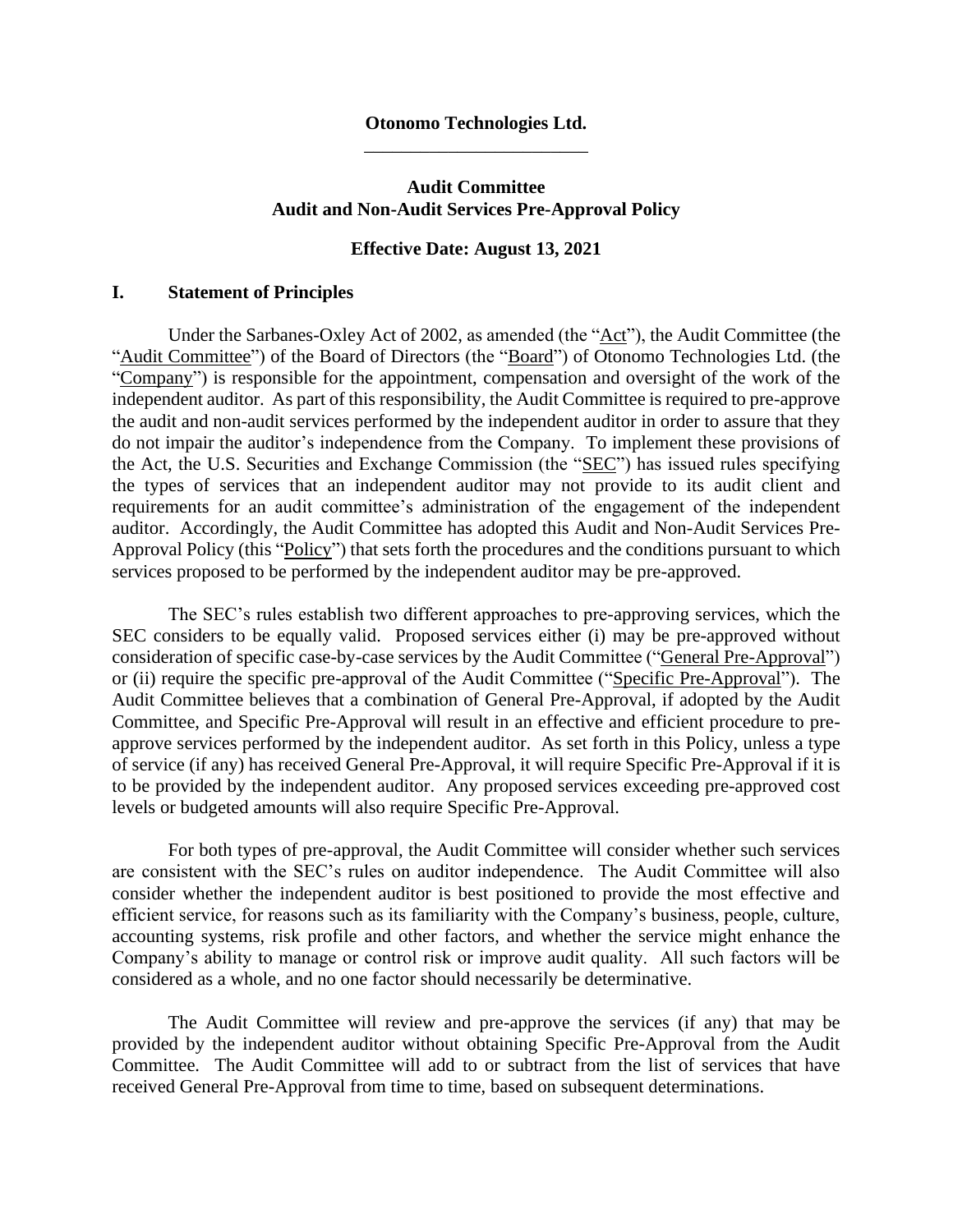#### **Otonomo Technologies Ltd.** \_\_\_\_\_\_\_\_\_\_\_\_\_\_\_\_\_\_\_\_\_\_\_\_

## **Audit Committee Audit and Non-Audit Services Pre-Approval Policy**

#### **Effective Date: August 13, 2021**

### **I. Statement of Principles**

Under the Sarbanes-Oxley Act of 2002, as amended (the "Act"), the Audit Committee (the "Audit Committee") of the Board of Directors (the "Board") of Otonomo Technologies Ltd. (the "Company") is responsible for the appointment, compensation and oversight of the work of the independent auditor. As part of this responsibility, the Audit Committee is required to pre-approve the audit and non-audit services performed by the independent auditor in order to assure that they do not impair the auditor's independence from the Company. To implement these provisions of the Act, the U.S. Securities and Exchange Commission (the "SEC") has issued rules specifying the types of services that an independent auditor may not provide to its audit client and requirements for an audit committee's administration of the engagement of the independent auditor. Accordingly, the Audit Committee has adopted this Audit and Non-Audit Services Pre-Approval Policy (this "Policy") that sets forth the procedures and the conditions pursuant to which services proposed to be performed by the independent auditor may be pre-approved.

The SEC's rules establish two different approaches to pre-approving services, which the SEC considers to be equally valid. Proposed services either (i) may be pre-approved without consideration of specific case-by-case services by the Audit Committee ("General Pre-Approval") or (ii) require the specific pre-approval of the Audit Committee ("Specific Pre-Approval"). The Audit Committee believes that a combination of General Pre-Approval, if adopted by the Audit Committee, and Specific Pre-Approval will result in an effective and efficient procedure to preapprove services performed by the independent auditor. As set forth in this Policy, unless a type of service (if any) has received General Pre-Approval, it will require Specific Pre-Approval if it is to be provided by the independent auditor. Any proposed services exceeding pre-approved cost levels or budgeted amounts will also require Specific Pre-Approval.

For both types of pre-approval, the Audit Committee will consider whether such services are consistent with the SEC's rules on auditor independence. The Audit Committee will also consider whether the independent auditor is best positioned to provide the most effective and efficient service, for reasons such as its familiarity with the Company's business, people, culture, accounting systems, risk profile and other factors, and whether the service might enhance the Company's ability to manage or control risk or improve audit quality. All such factors will be considered as a whole, and no one factor should necessarily be determinative.

The Audit Committee will review and pre-approve the services (if any) that may be provided by the independent auditor without obtaining Specific Pre-Approval from the Audit Committee. The Audit Committee will add to or subtract from the list of services that have received General Pre-Approval from time to time, based on subsequent determinations.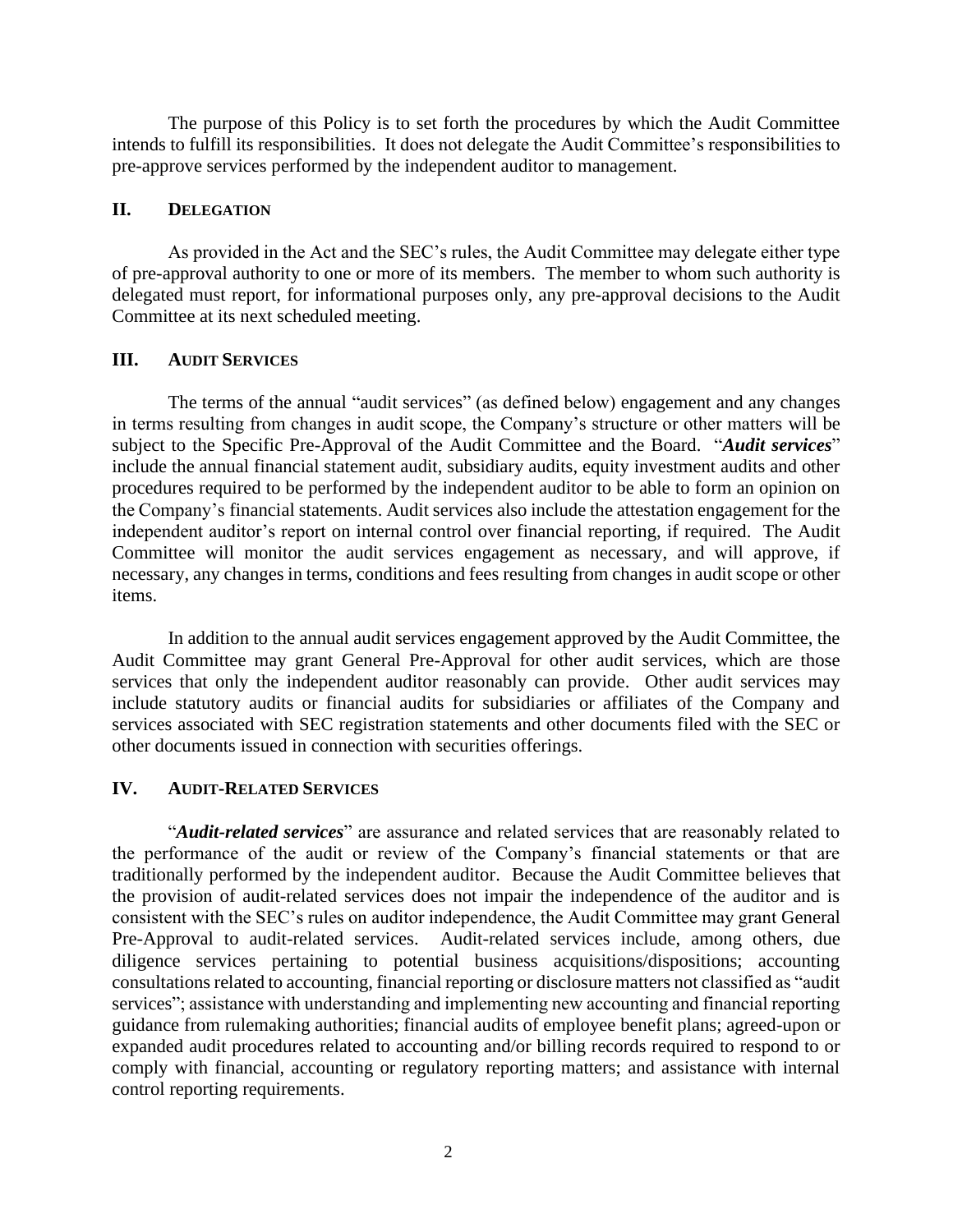The purpose of this Policy is to set forth the procedures by which the Audit Committee intends to fulfill its responsibilities. It does not delegate the Audit Committee's responsibilities to pre-approve services performed by the independent auditor to management.

## **II. DELEGATION**

As provided in the Act and the SEC's rules, the Audit Committee may delegate either type of pre-approval authority to one or more of its members. The member to whom such authority is delegated must report, for informational purposes only, any pre-approval decisions to the Audit Committee at its next scheduled meeting.

# **III. AUDIT SERVICES**

The terms of the annual "audit services" (as defined below) engagement and any changes in terms resulting from changes in audit scope, the Company's structure or other matters will be subject to the Specific Pre-Approval of the Audit Committee and the Board. "*Audit services*" include the annual financial statement audit, subsidiary audits, equity investment audits and other procedures required to be performed by the independent auditor to be able to form an opinion on the Company's financial statements. Audit services also include the attestation engagement for the independent auditor's report on internal control over financial reporting, if required. The Audit Committee will monitor the audit services engagement as necessary, and will approve, if necessary, any changes in terms, conditions and fees resulting from changes in audit scope or other items.

In addition to the annual audit services engagement approved by the Audit Committee, the Audit Committee may grant General Pre-Approval for other audit services, which are those services that only the independent auditor reasonably can provide. Other audit services may include statutory audits or financial audits for subsidiaries or affiliates of the Company and services associated with SEC registration statements and other documents filed with the SEC or other documents issued in connection with securities offerings.

# **IV. AUDIT-RELATED SERVICES**

"*Audit-related services*" are assurance and related services that are reasonably related to the performance of the audit or review of the Company's financial statements or that are traditionally performed by the independent auditor. Because the Audit Committee believes that the provision of audit-related services does not impair the independence of the auditor and is consistent with the SEC's rules on auditor independence, the Audit Committee may grant General Pre-Approval to audit-related services. Audit-related services include, among others, due diligence services pertaining to potential business acquisitions/dispositions; accounting consultations related to accounting, financial reporting or disclosure matters not classified as "audit services"; assistance with understanding and implementing new accounting and financial reporting guidance from rulemaking authorities; financial audits of employee benefit plans; agreed-upon or expanded audit procedures related to accounting and/or billing records required to respond to or comply with financial, accounting or regulatory reporting matters; and assistance with internal control reporting requirements.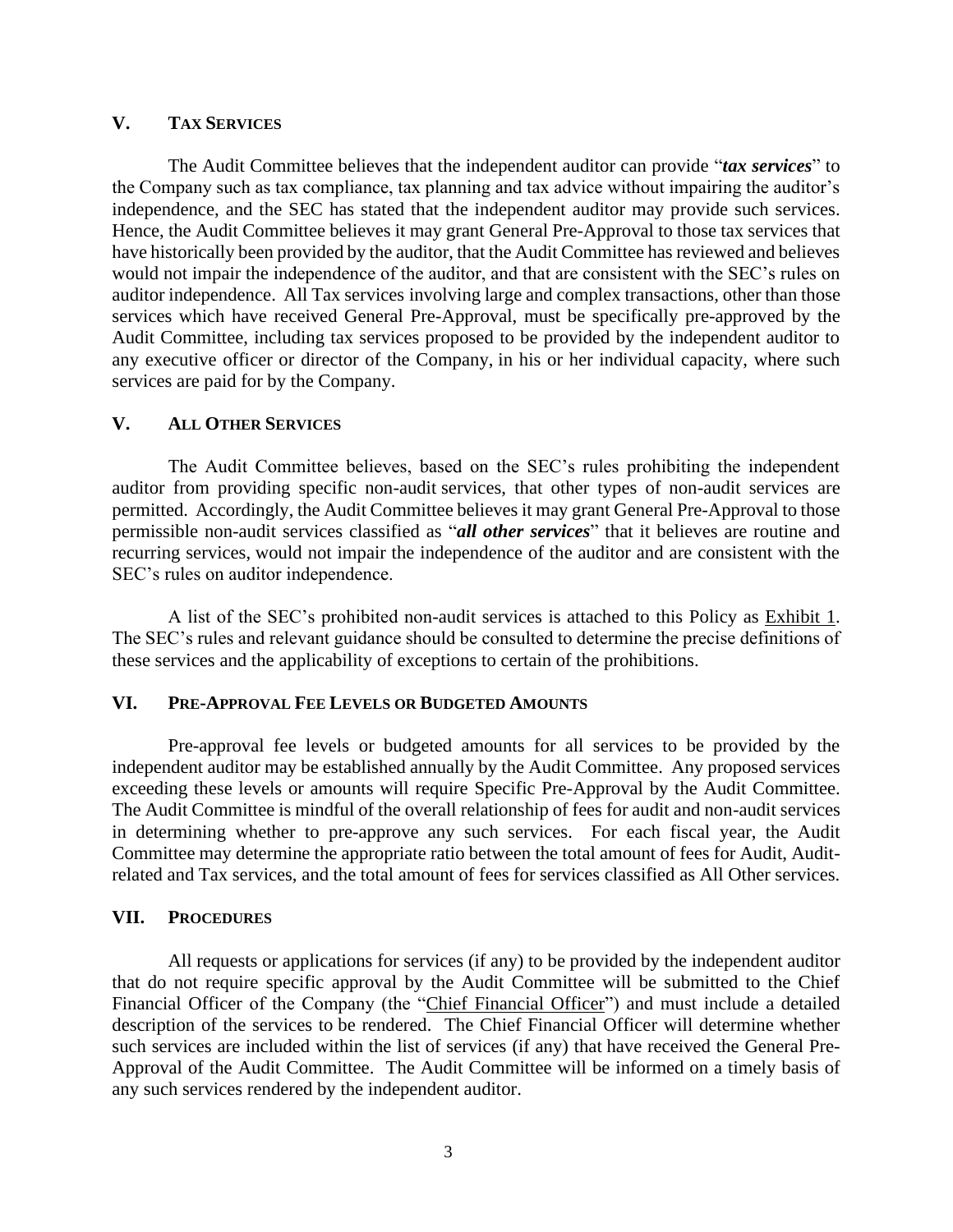### **V. TAX SERVICES**

The Audit Committee believes that the independent auditor can provide "*tax services*" to the Company such as tax compliance, tax planning and tax advice without impairing the auditor's independence, and the SEC has stated that the independent auditor may provide such services. Hence, the Audit Committee believes it may grant General Pre-Approval to those tax services that have historically been provided by the auditor, that the Audit Committee has reviewed and believes would not impair the independence of the auditor, and that are consistent with the SEC's rules on auditor independence. All Tax services involving large and complex transactions, other than those services which have received General Pre-Approval, must be specifically pre-approved by the Audit Committee, including tax services proposed to be provided by the independent auditor to any executive officer or director of the Company, in his or her individual capacity, where such services are paid for by the Company.

#### **V. ALL OTHER SERVICES**

The Audit Committee believes, based on the SEC's rules prohibiting the independent auditor from providing specific non-audit services, that other types of non-audit services are permitted. Accordingly, the Audit Committee believes it may grant General Pre-Approval to those permissible non-audit services classified as "*all other services*" that it believes are routine and recurring services, would not impair the independence of the auditor and are consistent with the SEC's rules on auditor independence.

A list of the SEC's prohibited non-audit services is attached to this Policy as Exhibit 1. The SEC's rules and relevant guidance should be consulted to determine the precise definitions of these services and the applicability of exceptions to certain of the prohibitions.

#### **VI. PRE-APPROVAL FEE LEVELS OR BUDGETED AMOUNTS**

Pre-approval fee levels or budgeted amounts for all services to be provided by the independent auditor may be established annually by the Audit Committee. Any proposed services exceeding these levels or amounts will require Specific Pre-Approval by the Audit Committee. The Audit Committee is mindful of the overall relationship of fees for audit and non-audit services in determining whether to pre-approve any such services. For each fiscal year, the Audit Committee may determine the appropriate ratio between the total amount of fees for Audit, Auditrelated and Tax services, and the total amount of fees for services classified as All Other services.

#### **VII. PROCEDURES**

All requests or applications for services (if any) to be provided by the independent auditor that do not require specific approval by the Audit Committee will be submitted to the Chief Financial Officer of the Company (the "Chief Financial Officer") and must include a detailed description of the services to be rendered. The Chief Financial Officer will determine whether such services are included within the list of services (if any) that have received the General Pre-Approval of the Audit Committee. The Audit Committee will be informed on a timely basis of any such services rendered by the independent auditor.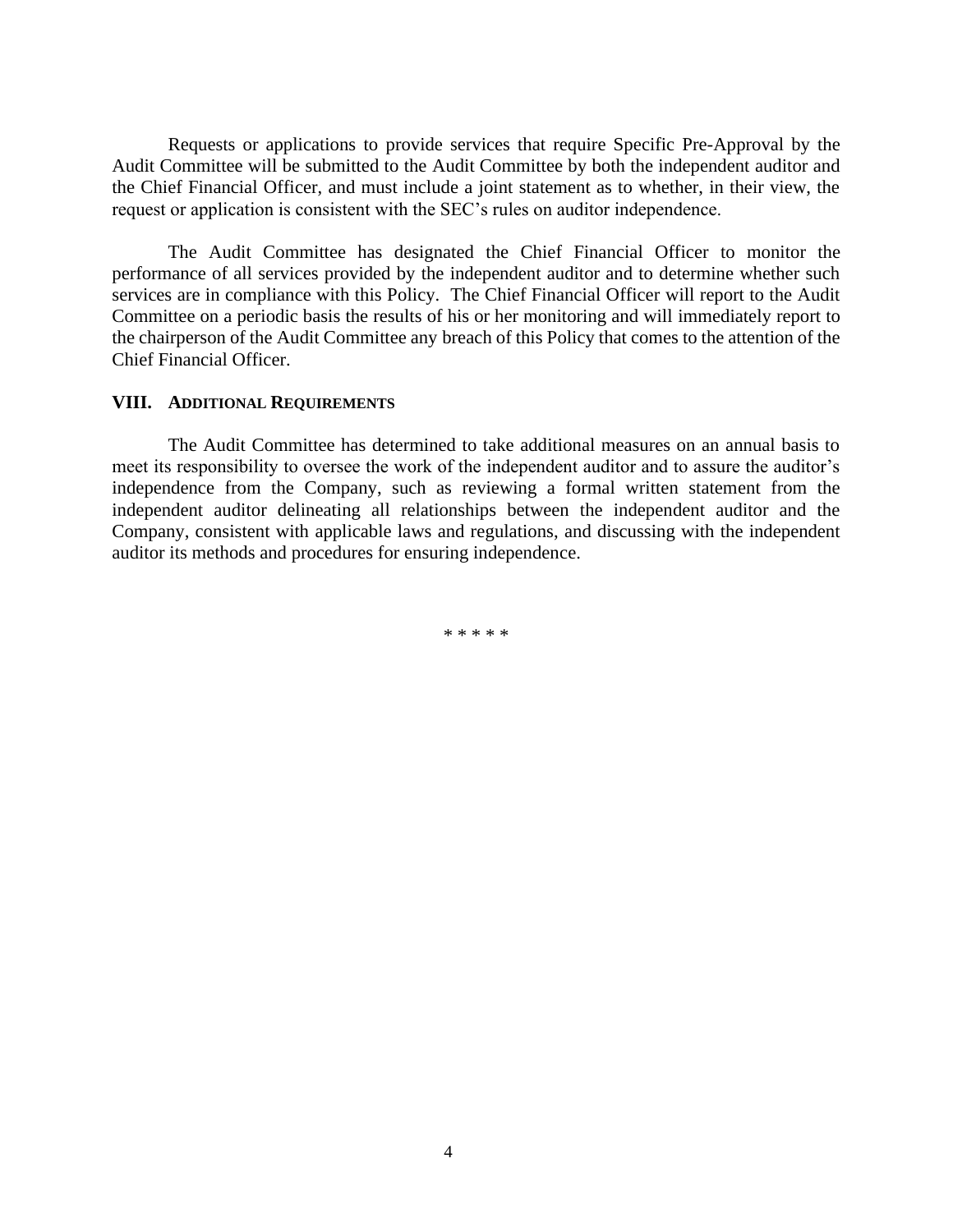Requests or applications to provide services that require Specific Pre-Approval by the Audit Committee will be submitted to the Audit Committee by both the independent auditor and the Chief Financial Officer, and must include a joint statement as to whether, in their view, the request or application is consistent with the SEC's rules on auditor independence.

The Audit Committee has designated the Chief Financial Officer to monitor the performance of all services provided by the independent auditor and to determine whether such services are in compliance with this Policy. The Chief Financial Officer will report to the Audit Committee on a periodic basis the results of his or her monitoring and will immediately report to the chairperson of the Audit Committee any breach of this Policy that comes to the attention of the Chief Financial Officer.

# **VIII. ADDITIONAL REQUIREMENTS**

The Audit Committee has determined to take additional measures on an annual basis to meet its responsibility to oversee the work of the independent auditor and to assure the auditor's independence from the Company, such as reviewing a formal written statement from the independent auditor delineating all relationships between the independent auditor and the Company, consistent with applicable laws and regulations, and discussing with the independent auditor its methods and procedures for ensuring independence.

\* \* \* \* \*